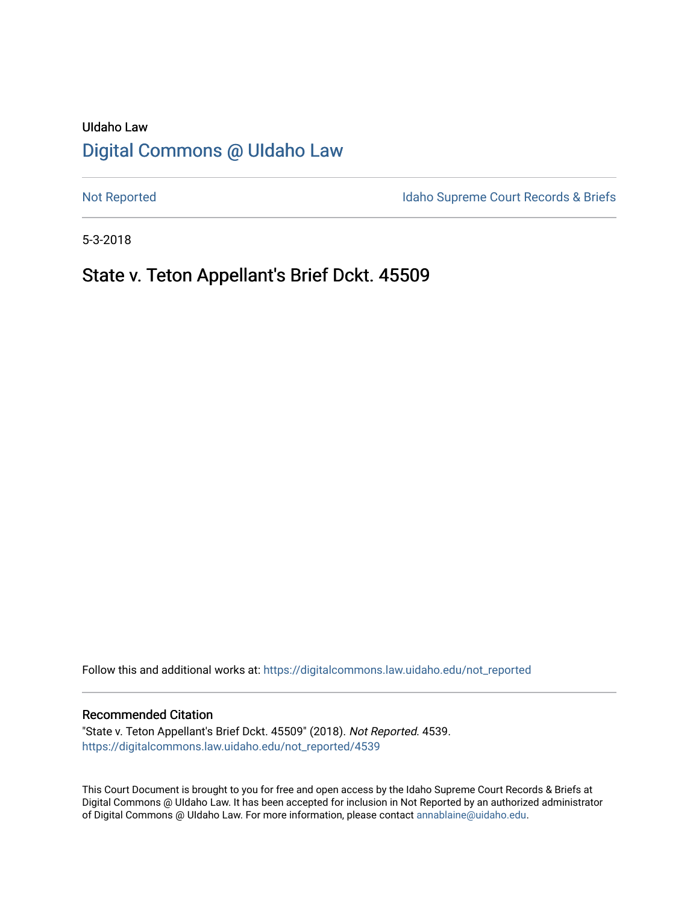# UIdaho Law [Digital Commons @ UIdaho Law](https://digitalcommons.law.uidaho.edu/)

[Not Reported](https://digitalcommons.law.uidaho.edu/not_reported) **Idaho Supreme Court Records & Briefs** 

5-3-2018

## State v. Teton Appellant's Brief Dckt. 45509

Follow this and additional works at: [https://digitalcommons.law.uidaho.edu/not\\_reported](https://digitalcommons.law.uidaho.edu/not_reported?utm_source=digitalcommons.law.uidaho.edu%2Fnot_reported%2F4539&utm_medium=PDF&utm_campaign=PDFCoverPages) 

#### Recommended Citation

"State v. Teton Appellant's Brief Dckt. 45509" (2018). Not Reported. 4539. [https://digitalcommons.law.uidaho.edu/not\\_reported/4539](https://digitalcommons.law.uidaho.edu/not_reported/4539?utm_source=digitalcommons.law.uidaho.edu%2Fnot_reported%2F4539&utm_medium=PDF&utm_campaign=PDFCoverPages)

This Court Document is brought to you for free and open access by the Idaho Supreme Court Records & Briefs at Digital Commons @ UIdaho Law. It has been accepted for inclusion in Not Reported by an authorized administrator of Digital Commons @ UIdaho Law. For more information, please contact [annablaine@uidaho.edu](mailto:annablaine@uidaho.edu).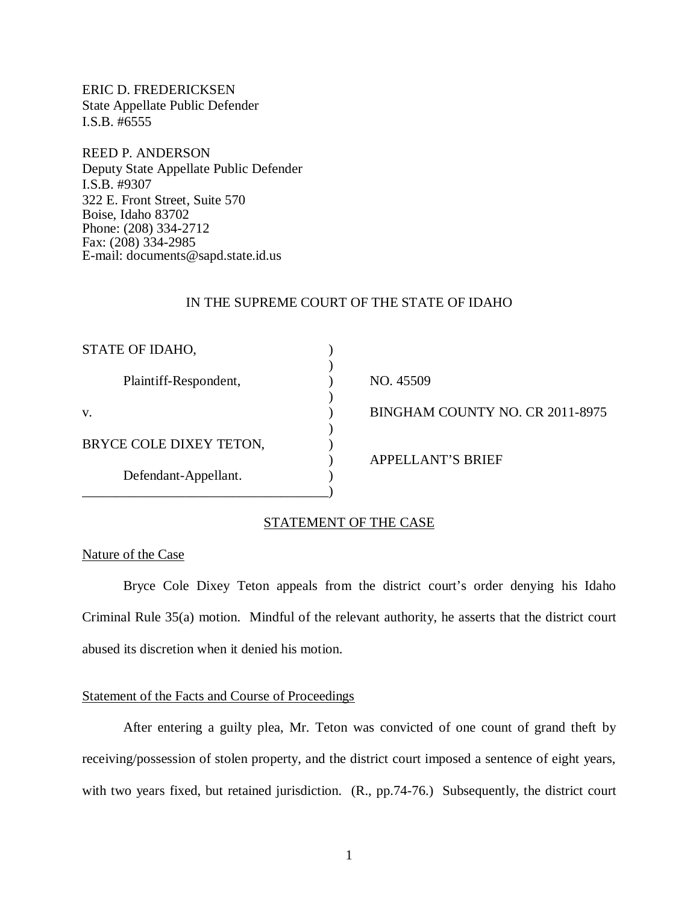ERIC D. FREDERICKSEN State Appellate Public Defender I.S.B. #6555

REED P. ANDERSON Deputy State Appellate Public Defender I.S.B. #9307 322 E. Front Street, Suite 570 Boise, Idaho 83702 Phone: (208) 334-2712 Fax: (208) 334-2985 E-mail: documents@sapd.state.id.us

### IN THE SUPREME COURT OF THE STATE OF IDAHO

| STATE OF IDAHO,         |                                 |
|-------------------------|---------------------------------|
| Plaintiff-Respondent,   | NO. 45509                       |
| V.                      | BINGHAM COUNTY NO. CR 2011-8975 |
| BRYCE COLE DIXEY TETON, |                                 |
| Defendant-Appellant.    | <b>APPELLANT'S BRIEF</b>        |
|                         |                                 |

## STATEMENT OF THE CASE

#### Nature of the Case

Bryce Cole Dixey Teton appeals from the district court's order denying his Idaho Criminal Rule 35(a) motion. Mindful of the relevant authority, he asserts that the district court abused its discretion when it denied his motion.

#### Statement of the Facts and Course of Proceedings

After entering a guilty plea, Mr. Teton was convicted of one count of grand theft by receiving/possession of stolen property, and the district court imposed a sentence of eight years, with two years fixed, but retained jurisdiction. (R., pp.74-76.) Subsequently, the district court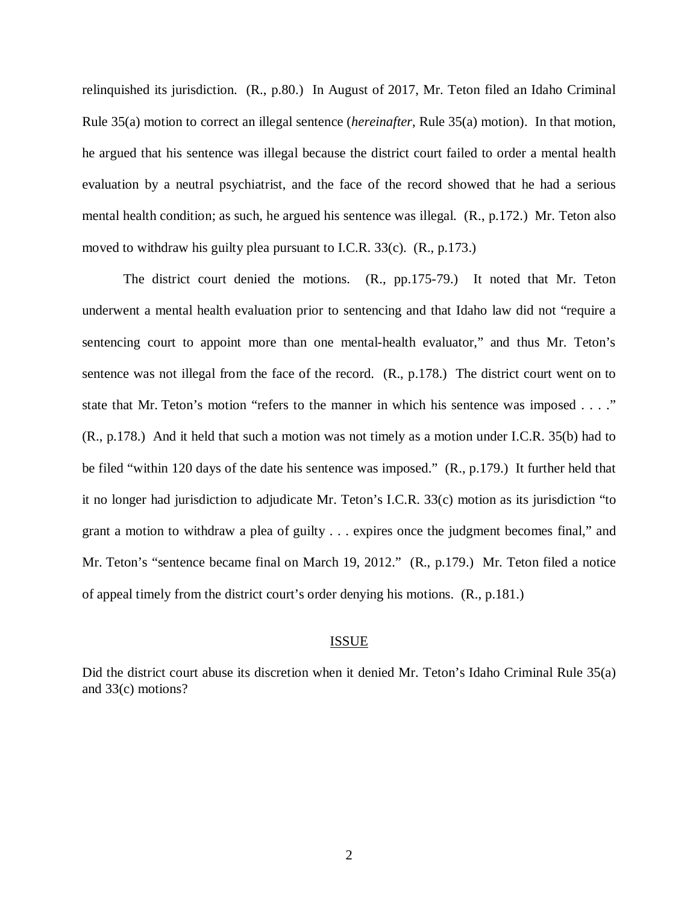relinquished its jurisdiction. (R., p.80.) In August of 2017, Mr. Teton filed an Idaho Criminal Rule 35(a) motion to correct an illegal sentence (*hereinafter*, Rule 35(a) motion). In that motion, he argued that his sentence was illegal because the district court failed to order a mental health evaluation by a neutral psychiatrist, and the face of the record showed that he had a serious mental health condition; as such, he argued his sentence was illegal. (R., p.172.) Mr. Teton also moved to withdraw his guilty plea pursuant to I.C.R. 33(c). (R., p.173.)

The district court denied the motions. (R., pp.175-79.) It noted that Mr. Teton underwent a mental health evaluation prior to sentencing and that Idaho law did not "require a sentencing court to appoint more than one mental-health evaluator," and thus Mr. Teton's sentence was not illegal from the face of the record. (R., p.178.) The district court went on to state that Mr. Teton's motion "refers to the manner in which his sentence was imposed . . . ." (R., p.178.) And it held that such a motion was not timely as a motion under I.C.R. 35(b) had to be filed "within 120 days of the date his sentence was imposed." (R., p.179.) It further held that it no longer had jurisdiction to adjudicate Mr. Teton's I.C.R. 33(c) motion as its jurisdiction "to grant a motion to withdraw a plea of guilty . . . expires once the judgment becomes final," and Mr. Teton's "sentence became final on March 19, 2012." (R., p.179.) Mr. Teton filed a notice of appeal timely from the district court's order denying his motions. (R., p.181.)

#### ISSUE

Did the district court abuse its discretion when it denied Mr. Teton's Idaho Criminal Rule 35(a) and 33(c) motions?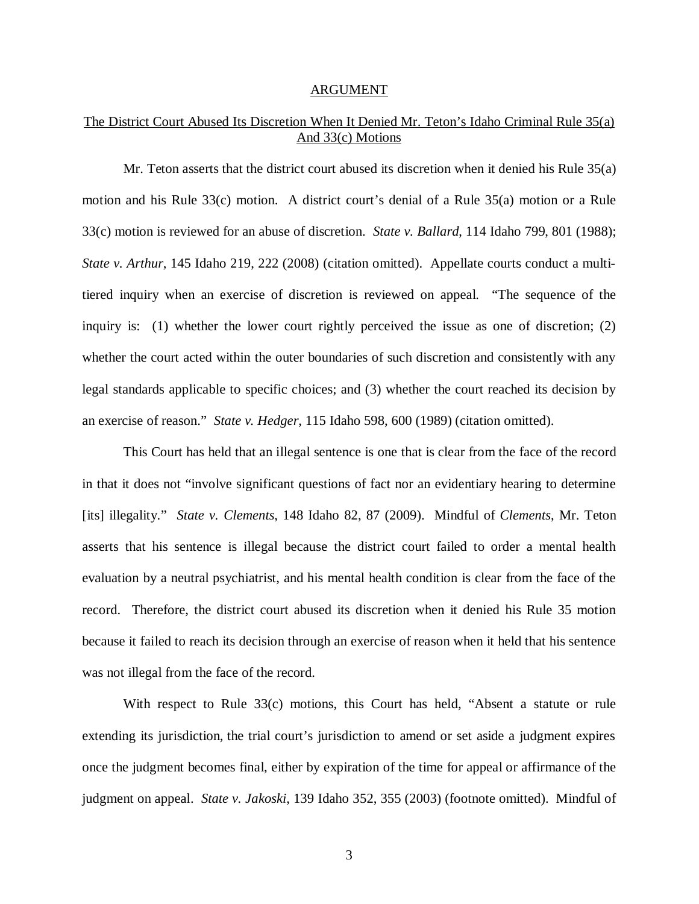#### ARGUMENT

## The District Court Abused Its Discretion When It Denied Mr. Teton's Idaho Criminal Rule 35(a) And 33(c) Motions

Mr. Teton asserts that the district court abused its discretion when it denied his Rule 35(a) motion and his Rule 33(c) motion. A district court's denial of a Rule 35(a) motion or a Rule 33(c) motion is reviewed for an abuse of discretion. *State v. Ballard*, 114 Idaho 799, 801 (1988); *State v. Arthur*, 145 Idaho 219, 222 (2008) (citation omitted). Appellate courts conduct a multitiered inquiry when an exercise of discretion is reviewed on appeal. "The sequence of the inquiry is: (1) whether the lower court rightly perceived the issue as one of discretion; (2) whether the court acted within the outer boundaries of such discretion and consistently with any legal standards applicable to specific choices; and (3) whether the court reached its decision by an exercise of reason." *State v. Hedger*, 115 Idaho 598, 600 (1989) (citation omitted).

This Court has held that an illegal sentence is one that is clear from the face of the record in that it does not "involve significant questions of fact nor an evidentiary hearing to determine [its] illegality." *State v. Clements*, 148 Idaho 82, 87 (2009). Mindful of *Clements*, Mr. Teton asserts that his sentence is illegal because the district court failed to order a mental health evaluation by a neutral psychiatrist, and his mental health condition is clear from the face of the record. Therefore, the district court abused its discretion when it denied his Rule 35 motion because it failed to reach its decision through an exercise of reason when it held that his sentence was not illegal from the face of the record.

With respect to Rule 33(c) motions, this Court has held, "Absent a statute or rule extending its jurisdiction, the trial court's jurisdiction to amend or set aside a judgment expires once the judgment becomes final, either by expiration of the time for appeal or affirmance of the judgment on appeal. *State v. Jakoski*, 139 Idaho 352, 355 (2003) (footnote omitted). Mindful of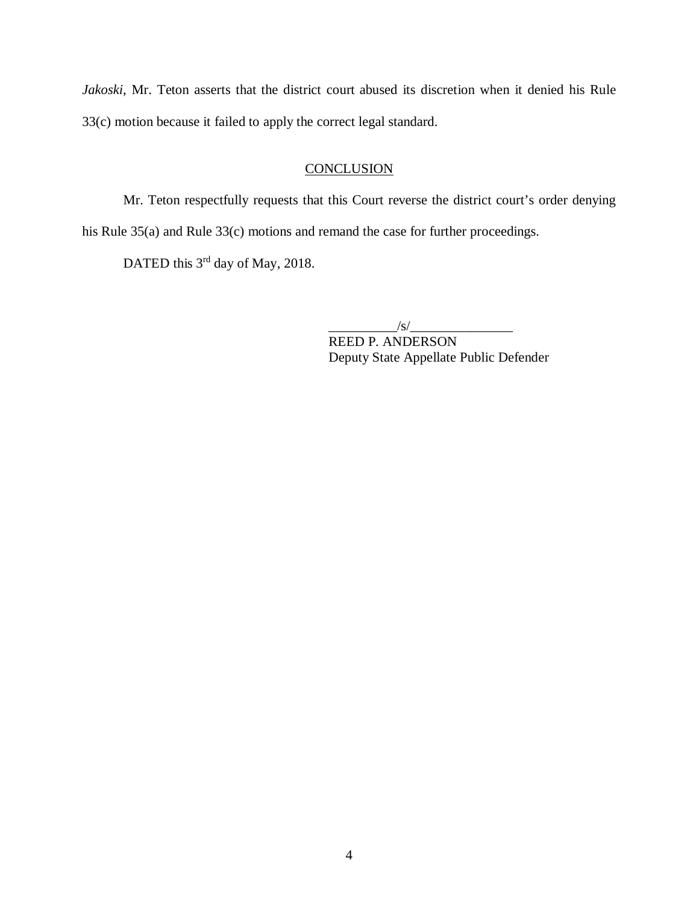*Jakoski*, Mr. Teton asserts that the district court abused its discretion when it denied his Rule 33(c) motion because it failed to apply the correct legal standard.

## **CONCLUSION**

Mr. Teton respectfully requests that this Court reverse the district court's order denying his Rule 35(a) and Rule 33(c) motions and remand the case for further proceedings.

DATED this 3<sup>rd</sup> day of May, 2018.

 $\sqrt{s/2}$ 

REED P. ANDERSON Deputy State Appellate Public Defender